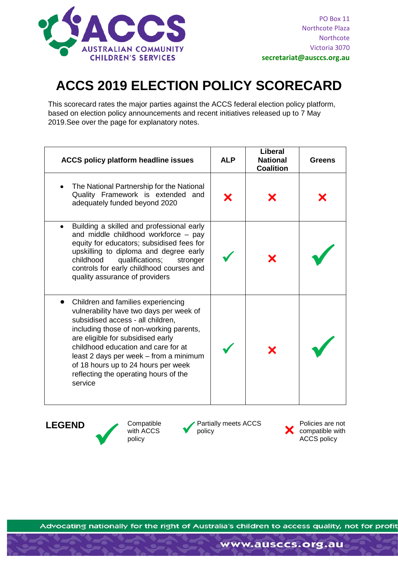

**secretariat@ausccs.org.au**

## **ACCS 2019 ELECTION POLICY SCORECARD**

This scorecard rates the major parties against the ACCS federal election policy platform, based on election policy announcements and recent initiatives released up to 7 May 2019.See over the page for explanatory notes.

| ACCS policy platform headline issues                                                                                                                                                                                                                                                                                                                                           | <b>ALP</b> | Liberal<br><b>National</b><br><b>Coalition</b> | <b>Greens</b> |
|--------------------------------------------------------------------------------------------------------------------------------------------------------------------------------------------------------------------------------------------------------------------------------------------------------------------------------------------------------------------------------|------------|------------------------------------------------|---------------|
| The National Partnership for the National<br>Quality Framework is extended and<br>adequately funded beyond 2020                                                                                                                                                                                                                                                                |            |                                                |               |
| Building a skilled and professional early<br>$\bullet$<br>and middle childhood workforce $-$ pay<br>equity for educators; subsidised fees for<br>upskilling to diploma and degree early<br>qualifications;<br>childhood<br>stronger<br>controls for early childhood courses and<br>quality assurance of providers                                                              |            |                                                |               |
| Children and families experiencing<br>vulnerability have two days per week of<br>subsidised access - all children,<br>including those of non-working parents,<br>are eligible for subsidised early<br>childhood education and care for at<br>least 2 days per week - from a minimum<br>of 18 hours up to 24 hours per week<br>reflecting the operating hours of the<br>service |            |                                                |               |

**LEGEND** Compatible with ACCS policy with ACCS policy

**Partially meets ACCS** 

Policies are not compatible with ACCS policy

Advocating nationally for the right of Australia's children to access quality, not for profit

www.ausccs.org.au